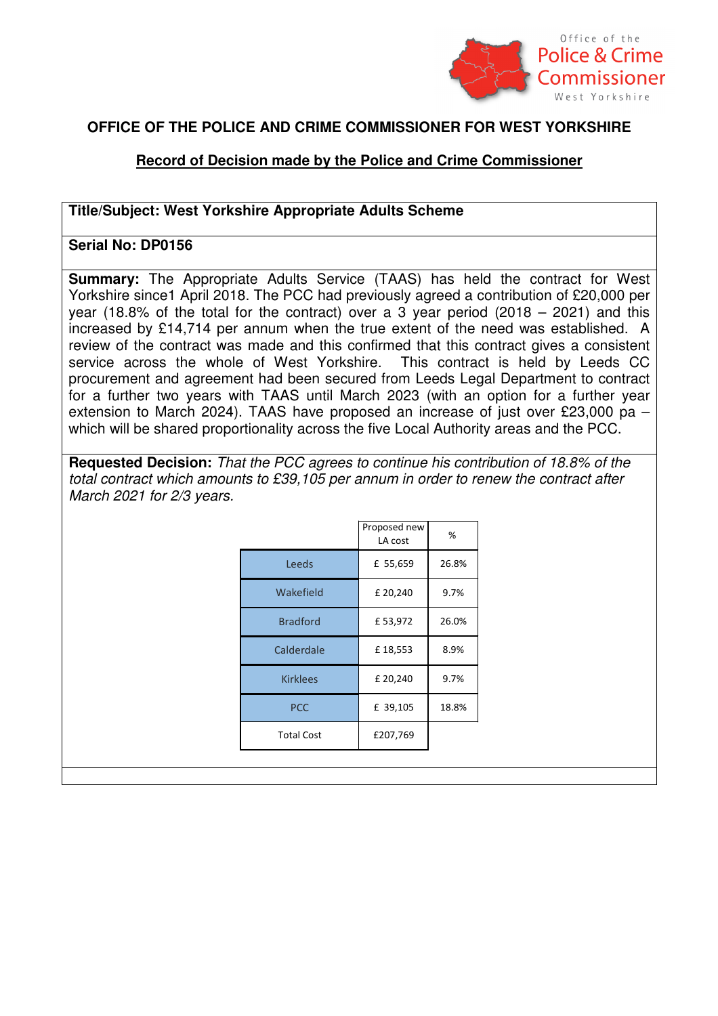

## **OFFICE OF THE POLICE AND CRIME COMMISSIONER FOR WEST YORKSHIRE**

## **Record of Decision made by the Police and Crime Commissioner**

## **Title/Subject: West Yorkshire Appropriate Adults Scheme**

## **Serial No: DP0156**

**Summary:** The Appropriate Adults Service (TAAS) has held the contract for West Yorkshire since1 April 2018. The PCC had previously agreed a contribution of £20,000 per year (18.8% of the total for the contract) over a 3 year period (2018 – 2021) and this increased by £14,714 per annum when the true extent of the need was established. A review of the contract was made and this confirmed that this contract gives a consistent service across the whole of West Yorkshire. This contract is held by Leeds CC procurement and agreement had been secured from Leeds Legal Department to contract for a further two years with TAAS until March 2023 (with an option for a further year extension to March 2024). TAAS have proposed an increase of just over £23,000 pa – which will be shared proportionality across the five Local Authority areas and the PCC.

 **Requested Decision:** That the PCC agrees to continue his contribution of 18.8% of the total contract which amounts to £39,105 per annum in order to renew the contract after March 2021 for 2/3 years.

|                   | Proposed new<br>LA cost | %     |
|-------------------|-------------------------|-------|
| Leeds             | £ 55,659                | 26.8% |
| Wakefield         | £ 20,240                | 9.7%  |
| <b>Bradford</b>   | £53,972                 | 26.0% |
| Calderdale        | £18,553                 | 8.9%  |
| <b>Kirklees</b>   | £ 20,240                | 9.7%  |
| <b>PCC</b>        | £ 39,105                | 18.8% |
| <b>Total Cost</b> | £207,769                |       |
|                   |                         |       |